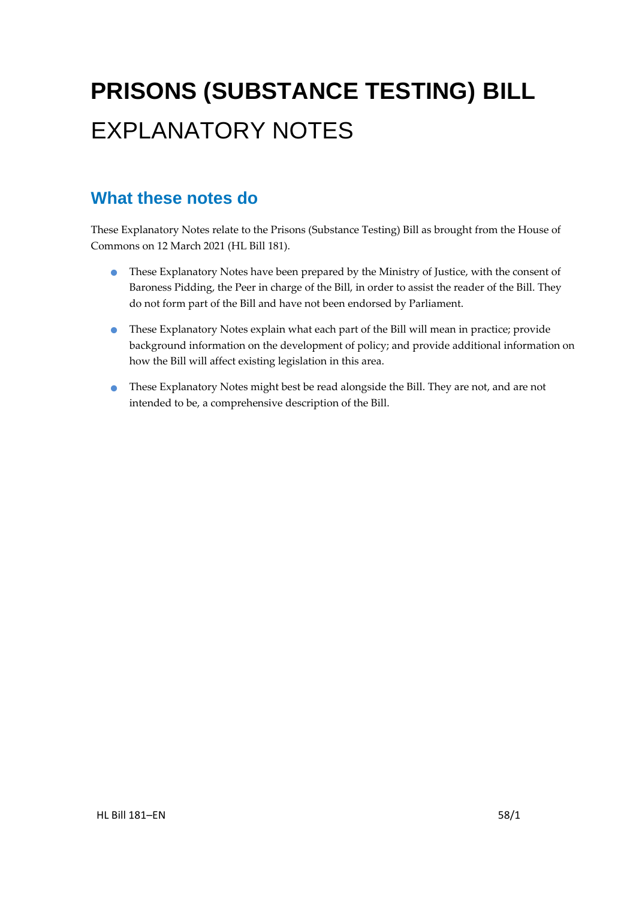# **PRISONS (SUBSTANCE TESTING) BILL** EXPLANATORY NOTES

### **What these notes do**

These Explanatory Notes relate to the Prisons (Substance Testing) Bill as brought from the House of Commons on 12 March 2021 (HL Bill 181).

- These Explanatory Notes have been prepared by the Ministry of Justice, with the consent of Baroness Pidding, the Peer in charge of the Bill, in order to assist the reader of the Bill. They do not form part of the Bill and have not been endorsed by Parliament.
- These Explanatory Notes explain what each part of the Bill will mean in practice; provide background information on the development of policy; and provide additional information on how the Bill will affect existing legislation in this area.
- These Explanatory Notes might best be read alongside the Bill. They are not, and are not intended to be, a comprehensive description of the Bill.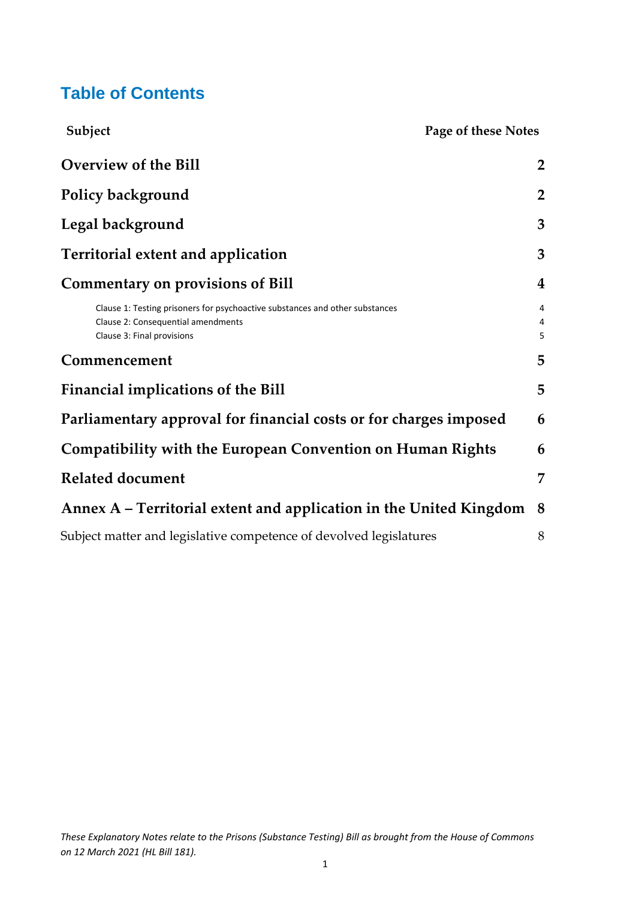## **Table of Contents**

| Subject<br>Page of these Notes                                                                                                                   |                         |
|--------------------------------------------------------------------------------------------------------------------------------------------------|-------------------------|
| <b>Overview of the Bill</b>                                                                                                                      | $\overline{2}$          |
| Policy background                                                                                                                                | $\overline{2}$          |
| Legal background                                                                                                                                 | 3                       |
| Territorial extent and application                                                                                                               | 3                       |
| <b>Commentary on provisions of Bill</b>                                                                                                          | $\overline{\mathbf{4}}$ |
| Clause 1: Testing prisoners for psychoactive substances and other substances<br>Clause 2: Consequential amendments<br>Clause 3: Final provisions | 4<br>4<br>5             |
| Commencement                                                                                                                                     | 5                       |
| <b>Financial implications of the Bill</b>                                                                                                        | 5                       |
| Parliamentary approval for financial costs or for charges imposed                                                                                | 6                       |
| Compatibility with the European Convention on Human Rights                                                                                       | 6                       |
| <b>Related document</b>                                                                                                                          | 7                       |
| Annex A – Territorial extent and application in the United Kingdom                                                                               | 8                       |
| Subject matter and legislative competence of devolved legislatures                                                                               | 8                       |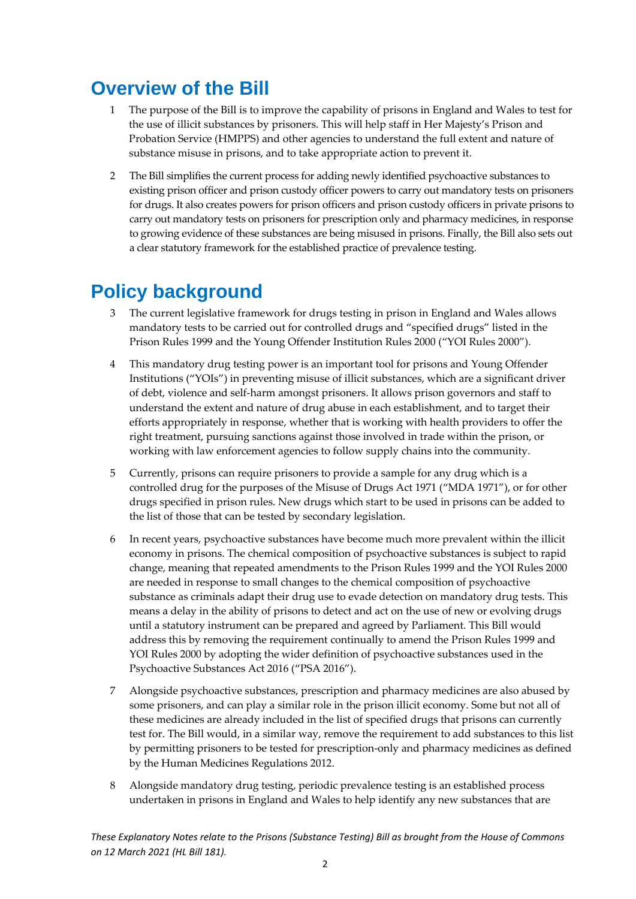## <span id="page-2-0"></span>**Overview of the Bill**

- 1 The purpose of the Bill is to improve the capability of prisons in England and Wales to test for the use of illicit substances by prisoners. This will help staff in Her Majesty's Prison and Probation Service (HMPPS) and other agencies to understand the full extent and nature of substance misuse in prisons, and to take appropriate action to prevent it.
- 2 The Bill simplifies the current process for adding newly identified psychoactive substances to existing prison officer and prison custody officer powers to carry out mandatory tests on prisoners for drugs. It also creates powers for prison officers and prison custody officers in private prisons to carry out mandatory tests on prisoners for prescription only and pharmacy medicines, in response to growing evidence of these substances are being misused in prisons. Finally, the Bill also sets out a clear statutory framework for the established practice of prevalence testing.

## <span id="page-2-1"></span>**Policy background**

- 3 The current legislative framework for drugs testing in prison in England and Wales allows mandatory tests to be carried out for controlled drugs and "specified drugs" listed in the Prison Rules 1999 and the Young Offender Institution Rules 2000 ("YOI Rules 2000").
- 4 This mandatory drug testing power is an important tool for prisons and Young Offender Institutions ("YOIs") in preventing misuse of illicit substances, which are a significant driver of debt, violence and self-harm amongst prisoners. It allows prison governors and staff to understand the extent and nature of drug abuse in each establishment, and to target their efforts appropriately in response, whether that is working with health providers to offer the right treatment, pursuing sanctions against those involved in trade within the prison, or working with law enforcement agencies to follow supply chains into the community.
- 5 Currently, prisons can require prisoners to provide a sample for any drug which is a controlled drug for the purposes of the Misuse of Drugs Act 1971 ("MDA 1971"), or for other drugs specified in prison rules. New drugs which start to be used in prisons can be added to the list of those that can be tested by secondary legislation.
- 6 In recent years, psychoactive substances have become much more prevalent within the illicit economy in prisons. The chemical composition of psychoactive substances is subject to rapid change, meaning that repeated amendments to the Prison Rules 1999 and the YOI Rules 2000 are needed in response to small changes to the chemical composition of psychoactive substance as criminals adapt their drug use to evade detection on mandatory drug tests. This means a delay in the ability of prisons to detect and act on the use of new or evolving drugs until a statutory instrument can be prepared and agreed by Parliament. This Bill would address this by removing the requirement continually to amend the Prison Rules 1999 and YOI Rules 2000 by adopting the wider definition of psychoactive substances used in the Psychoactive Substances Act 2016 ("PSA 2016").
- 7 Alongside psychoactive substances, prescription and pharmacy medicines are also abused by some prisoners, and can play a similar role in the prison illicit economy. Some but not all of these medicines are already included in the list of specified drugs that prisons can currently test for. The Bill would, in a similar way, remove the requirement to add substances to this list by permitting prisoners to be tested for prescription-only and pharmacy medicines as defined by the Human Medicines Regulations 2012.
- 8 Alongside mandatory drug testing, periodic prevalence testing is an established process undertaken in prisons in England and Wales to help identify any new substances that are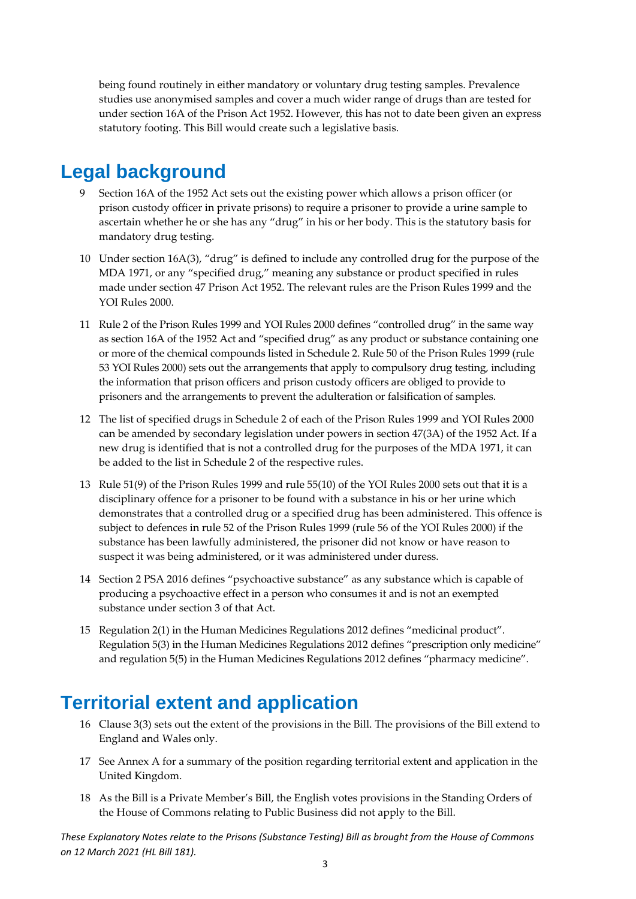being found routinely in either mandatory or voluntary drug testing samples. Prevalence studies use anonymised samples and cover a much wider range of drugs than are tested for under section 16A of the Prison Act 1952. However, this has not to date been given an express statutory footing. This Bill would create such a legislative basis.

### <span id="page-3-0"></span>**Legal background**

- 9 Section 16A of the 1952 Act sets out the existing power which allows a prison officer (or prison custody officer in private prisons) to require a prisoner to provide a urine sample to ascertain whether he or she has any "drug" in his or her body. This is the statutory basis for mandatory drug testing.
- 10 Under section 16A(3), "drug" is defined to include any controlled drug for the purpose of the MDA 1971, or any "specified drug," meaning any substance or product specified in rules made under section 47 Prison Act 1952. The relevant rules are the Prison Rules 1999 and the YOI Rules 2000.
- 11 Rule 2 of the Prison Rules 1999 and YOI Rules 2000 defines "controlled drug" in the same way as section 16A of the 1952 Act and "specified drug" as any product or substance containing one or more of the chemical compounds listed in Schedule 2. Rule 50 of the Prison Rules 1999 (rule 53 YOI Rules 2000) sets out the arrangements that apply to compulsory drug testing, including the information that prison officers and prison custody officers are obliged to provide to prisoners and the arrangements to prevent the adulteration or falsification of samples.
- 12 The list of specified drugs in Schedule 2 of each of the Prison Rules 1999 and YOI Rules 2000 can be amended by secondary legislation under powers in section 47(3A) of the 1952 Act. If a new drug is identified that is not a controlled drug for the purposes of the MDA 1971, it can be added to the list in Schedule 2 of the respective rules.
- 13 Rule 51(9) of the Prison Rules 1999 and rule 55(10) of the YOI Rules 2000 sets out that it is a disciplinary offence for a prisoner to be found with a substance in his or her urine which demonstrates that a controlled drug or a specified drug has been administered. This offence is subject to defences in rule 52 of the Prison Rules 1999 (rule 56 of the YOI Rules 2000) if the substance has been lawfully administered, the prisoner did not know or have reason to suspect it was being administered, or it was administered under duress.
- 14 Section 2 PSA 2016 defines "psychoactive substance" as any substance which is capable of producing a psychoactive effect in a person who consumes it and is not an exempted substance under section 3 of that Act.
- 15 Regulation 2(1) in the Human Medicines Regulations 2012 defines "medicinal product". Regulation 5(3) in the Human Medicines Regulations 2012 defines "prescription only medicine" and regulation 5(5) in the Human Medicines Regulations 2012 defines "pharmacy medicine".

### <span id="page-3-1"></span>**Territorial extent and application**

- 16 Clause 3(3) sets out the extent of the provisions in the Bill. The provisions of the Bill extend to England and Wales only.
- 17 See Annex A for a summary of the position regarding territorial extent and application in the United Kingdom.
- 18 As the Bill is a Private Member's Bill, the English votes provisions in the Standing Orders of the House of Commons relating to Public Business did not apply to the Bill.

*These Explanatory Notes relate to the Prisons (Substance Testing) Bill as brought from the House of Commons on 12 March 2021 (HL Bill 181).*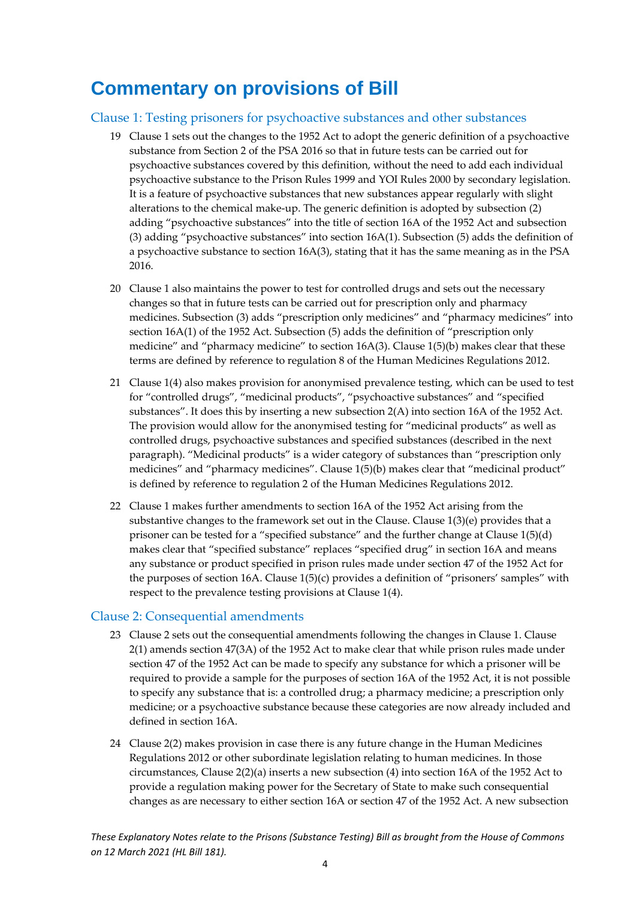## <span id="page-4-0"></span>**Commentary on provisions of Bill**

#### <span id="page-4-1"></span>Clause 1: Testing prisoners for psychoactive substances and other substances

- 19 Clause 1 sets out the changes to the 1952 Act to adopt the generic definition of a psychoactive substance from Section 2 of the PSA 2016 so that in future tests can be carried out for psychoactive substances covered by this definition, without the need to add each individual psychoactive substance to the Prison Rules 1999 and YOI Rules 2000 by secondary legislation. It is a feature of psychoactive substances that new substances appear regularly with slight alterations to the chemical make-up. The generic definition is adopted by subsection (2) adding "psychoactive substances" into the title of section 16A of the 1952 Act and subsection (3) adding "psychoactive substances" into section 16A(1). Subsection (5) adds the definition of a psychoactive substance to section 16A(3), stating that it has the same meaning as in the PSA 2016.
- 20 Clause 1 also maintains the power to test for controlled drugs and sets out the necessary changes so that in future tests can be carried out for prescription only and pharmacy medicines. Subsection (3) adds "prescription only medicines" and "pharmacy medicines" into section 16A(1) of the 1952 Act. Subsection (5) adds the definition of "prescription only medicine" and "pharmacy medicine" to section 16A(3). Clause 1(5)(b) makes clear that these terms are defined by reference to regulation 8 of the Human Medicines Regulations 2012.
- 21 Clause 1(4) also makes provision for anonymised prevalence testing, which can be used to test for "controlled drugs", "medicinal products", "psychoactive substances" and "specified substances". It does this by inserting a new subsection 2(A) into section 16A of the 1952 Act. The provision would allow for the anonymised testing for "medicinal products" as well as controlled drugs, psychoactive substances and specified substances (described in the next paragraph). "Medicinal products" is a wider category of substances than "prescription only medicines" and "pharmacy medicines". Clause 1(5)(b) makes clear that "medicinal product" is defined by reference to regulation 2 of the Human Medicines Regulations 2012.
- 22 Clause 1 makes further amendments to section 16A of the 1952 Act arising from the substantive changes to the framework set out in the Clause. Clause 1(3)(e) provides that a prisoner can be tested for a "specified substance" and the further change at Clause 1(5)(d) makes clear that "specified substance" replaces "specified drug" in section 16A and means any substance or product specified in prison rules made under section 47 of the 1952 Act for the purposes of section 16A. Clause 1(5)(c) provides a definition of "prisoners' samples" with respect to the prevalence testing provisions at Clause 1(4).

#### <span id="page-4-2"></span>Clause 2: Consequential amendments

- 23 Clause 2 sets out the consequential amendments following the changes in Clause 1. Clause 2(1) amends section 47(3A) of the 1952 Act to make clear that while prison rules made under section 47 of the 1952 Act can be made to specify any substance for which a prisoner will be required to provide a sample for the purposes of section 16A of the 1952 Act, it is not possible to specify any substance that is: a controlled drug; a pharmacy medicine; a prescription only medicine; or a psychoactive substance because these categories are now already included and defined in section 16A.
- 24 Clause 2(2) makes provision in case there is any future change in the Human Medicines Regulations 2012 or other subordinate legislation relating to human medicines. In those circumstances, Clause 2(2)(a) inserts a new subsection (4) into section 16A of the 1952 Act to provide a regulation making power for the Secretary of State to make such consequential changes as are necessary to either section 16A or section 47 of the 1952 Act. A new subsection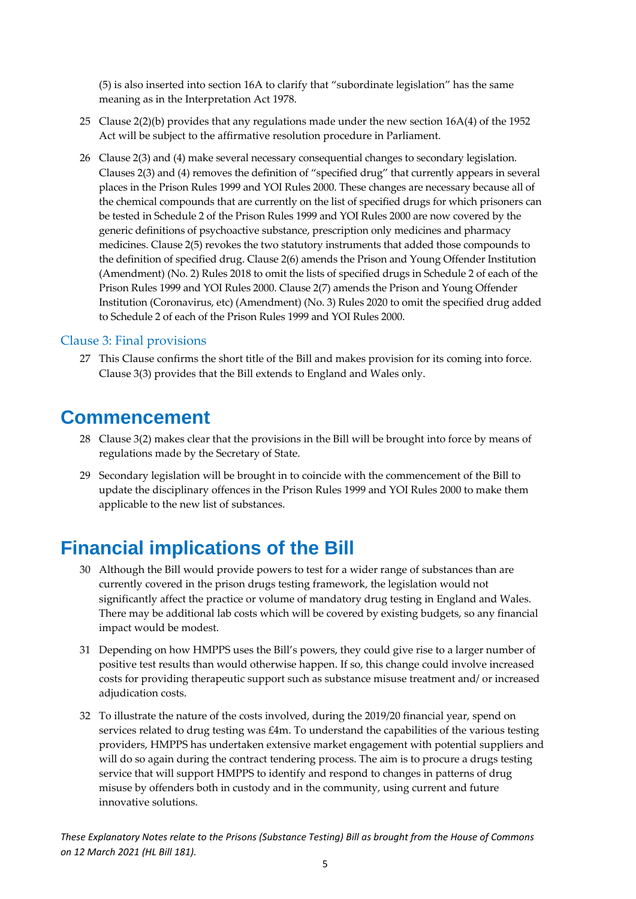(5) is also inserted into section 16A to clarify that "subordinate legislation" has the same meaning as in the Interpretation Act 1978.

- 25 Clause 2(2)(b) provides that any regulations made under the new section 16A(4) of the 1952 Act will be subject to the affirmative resolution procedure in Parliament.
- 26 Clause 2(3) and (4) make several necessary consequential changes to secondary legislation. Clauses 2(3) and (4) removes the definition of "specified drug" that currently appears in several places in the Prison Rules 1999 and YOI Rules 2000. These changes are necessary because all of the chemical compounds that are currently on the list of specified drugs for which prisoners can be tested in Schedule 2 of the Prison Rules 1999 and YOI Rules 2000 are now covered by the generic definitions of psychoactive substance, prescription only medicines and pharmacy medicines. Clause 2(5) revokes the two statutory instruments that added those compounds to the definition of specified drug. Clause 2(6) amends the Prison and Young Offender Institution (Amendment) (No. 2) Rules 2018 to omit the lists of specified drugs in Schedule 2 of each of the Prison Rules 1999 and YOI Rules 2000. Clause 2(7) amends the Prison and Young Offender Institution (Coronavirus, etc) (Amendment) (No. 3) Rules 2020 to omit the specified drug added to Schedule 2 of each of the Prison Rules 1999 and YOI Rules 2000.

#### <span id="page-5-0"></span>Clause 3: Final provisions

27 This Clause confirms the short title of the Bill and makes provision for its coming into force. Clause 3(3) provides that the Bill extends to England and Wales only.

### <span id="page-5-1"></span>**Commencement**

- 28 Clause 3(2) makes clear that the provisions in the Bill will be brought into force by means of regulations made by the Secretary of State.
- 29 Secondary legislation will be brought in to coincide with the commencement of the Bill to update the disciplinary offences in the Prison Rules 1999 and YOI Rules 2000 to make them applicable to the new list of substances.

## <span id="page-5-2"></span>**Financial implications of the Bill**

- 30 Although the Bill would provide powers to test for a wider range of substances than are currently covered in the prison drugs testing framework, the legislation would not significantly affect the practice or volume of mandatory drug testing in England and Wales. There may be additional lab costs which will be covered by existing budgets, so any financial impact would be modest.
- 31 Depending on how HMPPS uses the Bill's powers, they could give rise to a larger number of positive test results than would otherwise happen. If so, this change could involve increased costs for providing therapeutic support such as substance misuse treatment and/ or increased adjudication costs.
- 32 To illustrate the nature of the costs involved, during the 2019/20 financial year, spend on services related to drug testing was £4m. To understand the capabilities of the various testing providers, HMPPS has undertaken extensive market engagement with potential suppliers and will do so again during the contract tendering process. The aim is to procure a drugs testing service that will support HMPPS to identify and respond to changes in patterns of drug misuse by offenders both in custody and in the community, using current and future innovative solutions.

*These Explanatory Notes relate to the Prisons (Substance Testing) Bill as brought from the House of Commons on 12 March 2021 (HL Bill 181).*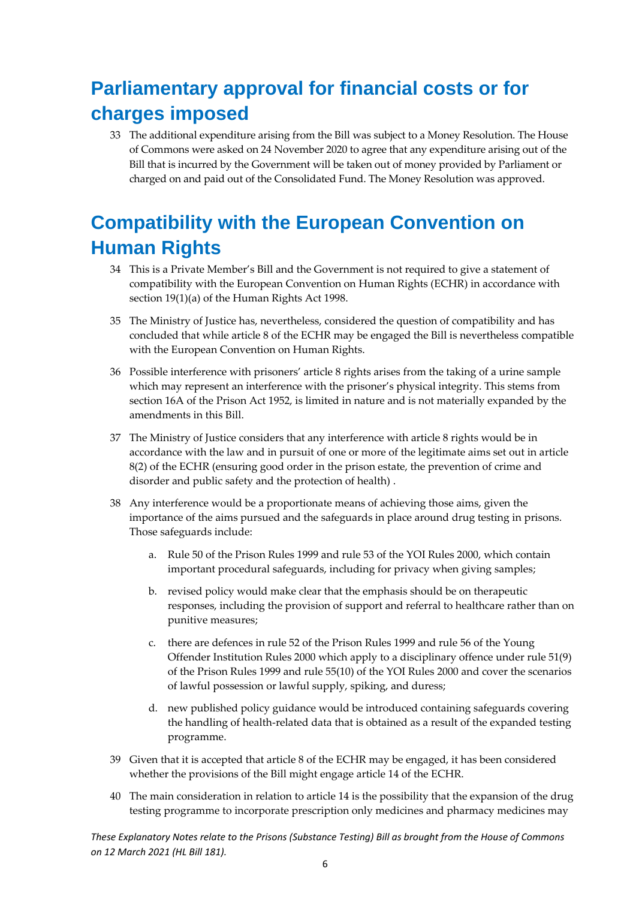## <span id="page-6-0"></span>**Parliamentary approval for financial costs or for charges imposed**

33 The additional expenditure arising from the Bill was subject to a Money Resolution. The House of Commons were asked on 24 November 2020 to agree that any expenditure arising out of the Bill that is incurred by the Government will be taken out of money provided by Parliament or charged on and paid out of the Consolidated Fund. The Money Resolution was approved.

## <span id="page-6-1"></span>**Compatibility with the European Convention on Human Rights**

- 34 This is a Private Member's Bill and the Government is not required to give a statement of compatibility with the European Convention on Human Rights (ECHR) in accordance with section 19(1)(a) of the Human Rights Act 1998.
- 35 The Ministry of Justice has, nevertheless, considered the question of compatibility and has concluded that while article 8 of the ECHR may be engaged the Bill is nevertheless compatible with the European Convention on Human Rights.
- 36 Possible interference with prisoners' article 8 rights arises from the taking of a urine sample which may represent an interference with the prisoner's physical integrity. This stems from section 16A of the Prison Act 1952, is limited in nature and is not materially expanded by the amendments in this Bill.
- 37 The Ministry of Justice considers that any interference with article 8 rights would be in accordance with the law and in pursuit of one or more of the legitimate aims set out in article 8(2) of the ECHR (ensuring good order in the prison estate, the prevention of crime and disorder and public safety and the protection of health) .
- 38 Any interference would be a proportionate means of achieving those aims, given the importance of the aims pursued and the safeguards in place around drug testing in prisons. Those safeguards include:
	- a. Rule 50 of the Prison Rules 1999 and rule 53 of the YOI Rules 2000, which contain important procedural safeguards, including for privacy when giving samples;
	- b. revised policy would make clear that the emphasis should be on therapeutic responses, including the provision of support and referral to healthcare rather than on punitive measures;
	- c. there are defences in rule 52 of the Prison Rules 1999 and rule 56 of the Young Offender Institution Rules 2000 which apply to a disciplinary offence under rule 51(9) of the Prison Rules 1999 and rule 55(10) of the YOI Rules 2000 and cover the scenarios of lawful possession or lawful supply, spiking, and duress;
	- d. new published policy guidance would be introduced containing safeguards covering the handling of health-related data that is obtained as a result of the expanded testing programme.
- 39 Given that it is accepted that article 8 of the ECHR may be engaged, it has been considered whether the provisions of the Bill might engage article 14 of the ECHR.
- 40 The main consideration in relation to article 14 is the possibility that the expansion of the drug testing programme to incorporate prescription only medicines and pharmacy medicines may

*These Explanatory Notes relate to the Prisons (Substance Testing) Bill as brought from the House of Commons on 12 March 2021 (HL Bill 181).*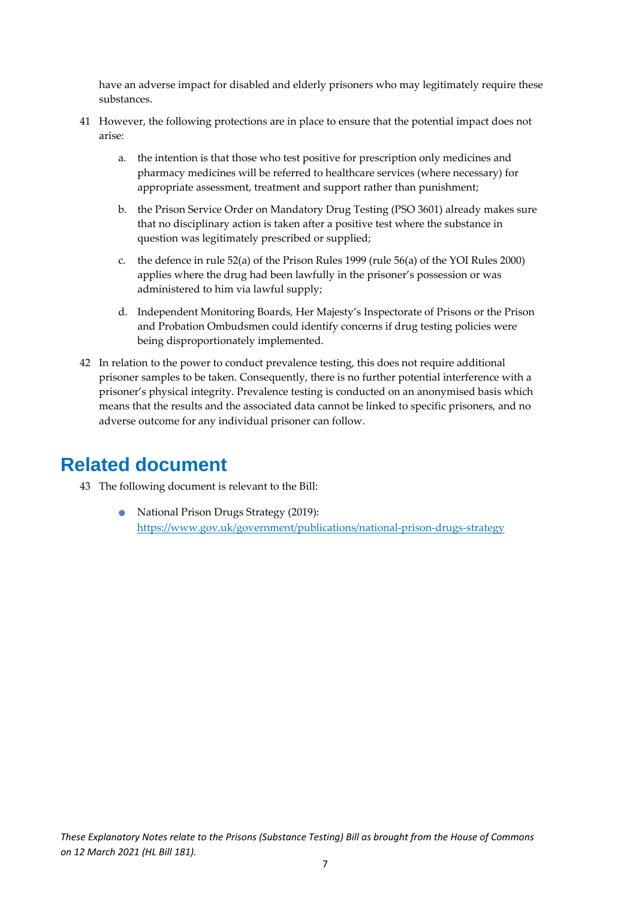have an adverse impact for disabled and elderly prisoners who may legitimately require these substances.

- 41 However, the following protections are in place to ensure that the potential impact does not arise:
	- a. the intention is that those who test positive for prescription only medicines and pharmacy medicines will be referred to healthcare services (where necessary) for appropriate assessment, treatment and support rather than punishment;
	- b. the Prison Service Order on Mandatory Drug Testing (PSO 3601) already makes sure that no disciplinary action is taken after a positive test where the substance in question was legitimately prescribed or supplied;
	- c. the defence in rule 52(a) of the Prison Rules 1999 (rule 56(a) of the YOI Rules 2000) applies where the drug had been lawfully in the prisoner's possession or was administered to him via lawful supply;
	- d. Independent Monitoring Boards, Her Majesty's Inspectorate of Prisons or the Prison and Probation Ombudsmen could identify concerns if drug testing policies were being disproportionately implemented.
- 42 In relation to the power to conduct prevalence testing, this does not require additional prisoner samples to be taken. Consequently, there is no further potential interference with a prisoner's physical integrity. Prevalence testing is conducted on an anonymised basis which means that the results and the associated data cannot be linked to specific prisoners, and no adverse outcome for any individual prisoner can follow.

### <span id="page-7-0"></span>**Related document**

- 43 The following document is relevant to the Bill:
	- National Prison Drugs Strategy (2019): <https://www.gov.uk/government/publications/national-prison-drugs-strategy>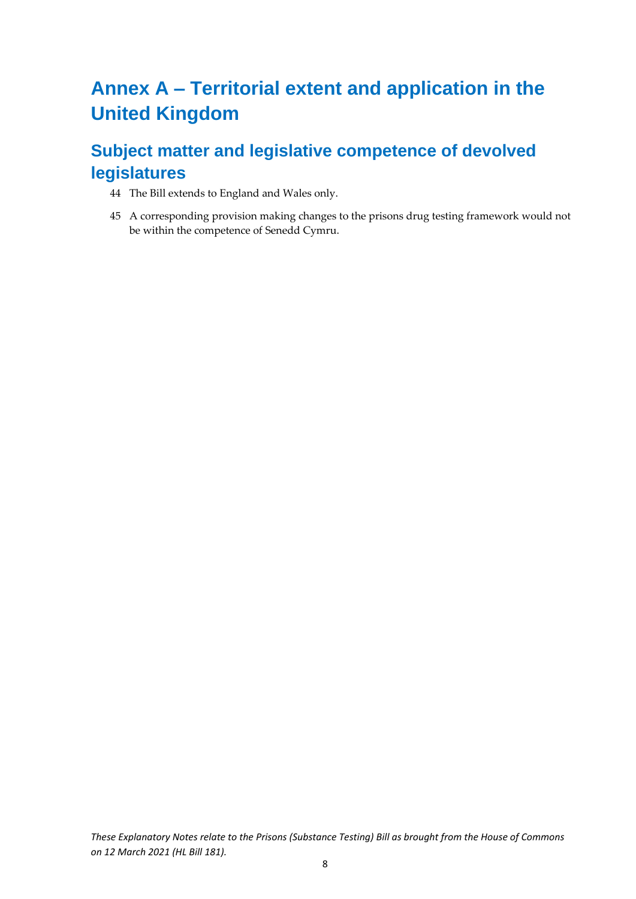## <span id="page-8-0"></span>**Annex A – Territorial extent and application in the United Kingdom**

## <span id="page-8-1"></span>**Subject matter and legislative competence of devolved legislatures**

- 44 The Bill extends to England and Wales only.
- 45 A corresponding provision making changes to the prisons drug testing framework would not be within the competence of Senedd Cymru.